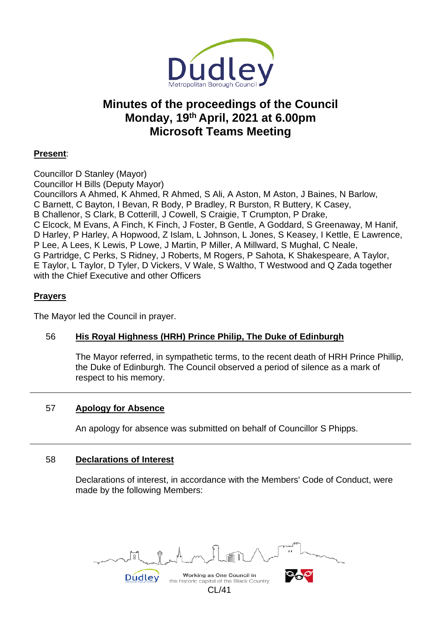

# **Minutes of the proceedings of the Council Monday, 19th April, 2021 at 6.00pm Microsoft Teams Meeting**

# **Present**:

Councillor D Stanley (Mayor) Councillor H Bills (Deputy Mayor) Councillors A Ahmed, K Ahmed, R Ahmed, S Ali, A Aston, M Aston, J Baines, N Barlow, C Barnett, C Bayton, I Bevan, R Body, P Bradley, R Burston, R Buttery, K Casey, B Challenor, S Clark, B Cotterill, J Cowell, S Craigie, T Crumpton, P Drake, C Elcock, M Evans, A Finch, K Finch, J Foster, B Gentle, A Goddard, S Greenaway, M Hanif, D Harley, P Harley, A Hopwood, Z Islam, L Johnson, L Jones, S Keasey, I Kettle, E Lawrence, P Lee, A Lees, K Lewis, P Lowe, J Martin, P Miller, A Millward, S Mughal, C Neale, G Partridge, C Perks, S Ridney, J Roberts, M Rogers, P Sahota, K Shakespeare, A Taylor, E Taylor, L Taylor, D Tyler, D Vickers, V Wale, S Waltho, T Westwood and Q Zada together with the Chief Executive and other Officers

# **Prayers**

The Mayor led the Council in prayer.

# 56 **His Royal Highness (HRH) Prince Philip, The Duke of Edinburgh**

The Mayor referred, in sympathetic terms, to the recent death of HRH Prince Phillip, the Duke of Edinburgh. The Council observed a period of silence as a mark of respect to his memory.

# 57 **Apology for Absence**

An apology for absence was submitted on behalf of Councillor S Phipps.

# 58 **Declarations of Interest**

Declarations of interest, in accordance with the Members' Code of Conduct, were made by the following Members:



CL/41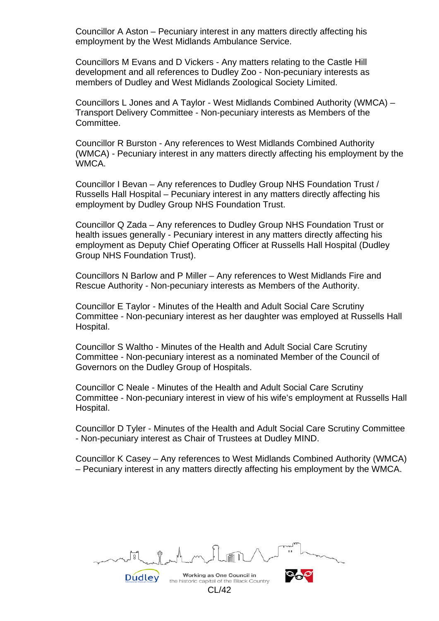Councillor A Aston – Pecuniary interest in any matters directly affecting his employment by the West Midlands Ambulance Service.

Councillors M Evans and D Vickers - Any matters relating to the Castle Hill development and all references to Dudley Zoo - Non-pecuniary interests as members of Dudley and West Midlands Zoological Society Limited.

Councillors L Jones and A Taylor - West Midlands Combined Authority (WMCA) – Transport Delivery Committee - Non-pecuniary interests as Members of the Committee.

Councillor R Burston - Any references to West Midlands Combined Authority (WMCA) - Pecuniary interest in any matters directly affecting his employment by the WMCA.

Councillor I Bevan – Any references to Dudley Group NHS Foundation Trust / Russells Hall Hospital – Pecuniary interest in any matters directly affecting his employment by Dudley Group NHS Foundation Trust.

Councillor Q Zada – Any references to Dudley Group NHS Foundation Trust or health issues generally - Pecuniary interest in any matters directly affecting his employment as Deputy Chief Operating Officer at Russells Hall Hospital (Dudley Group NHS Foundation Trust).

Councillors N Barlow and P Miller – Any references to West Midlands Fire and Rescue Authority - Non-pecuniary interests as Members of the Authority.

Councillor E Taylor - Minutes of the Health and Adult Social Care Scrutiny Committee - Non-pecuniary interest as her daughter was employed at Russells Hall Hospital.

Councillor S Waltho - Minutes of the Health and Adult Social Care Scrutiny Committee - Non-pecuniary interest as a nominated Member of the Council of Governors on the Dudley Group of Hospitals.

Councillor C Neale - Minutes of the Health and Adult Social Care Scrutiny Committee - Non-pecuniary interest in view of his wife's employment at Russells Hall Hospital.

Councillor D Tyler - Minutes of the Health and Adult Social Care Scrutiny Committee - Non-pecuniary interest as Chair of Trustees at Dudley MIND.

Councillor K Casey – Any references to West Midlands Combined Authority (WMCA) – Pecuniary interest in any matters directly affecting his employment by the WMCA.

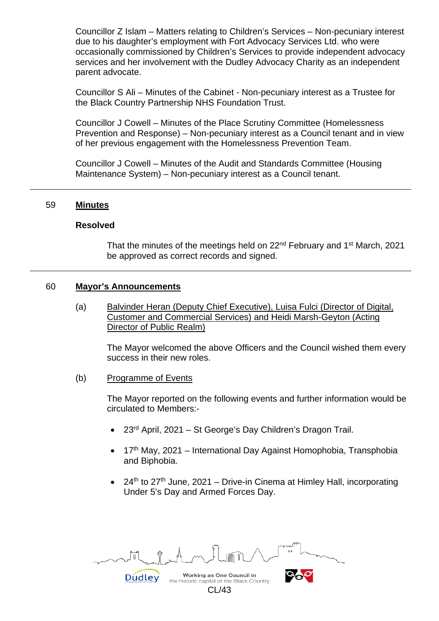Councillor Z Islam – Matters relating to Children's Services – Non-pecuniary interest due to his daughter's employment with Fort Advocacy Services Ltd. who were occasionally commissioned by Children's Services to provide independent advocacy services and her involvement with the Dudley Advocacy Charity as an independent parent advocate.

Councillor S Ali – Minutes of the Cabinet - Non-pecuniary interest as a Trustee for the Black Country Partnership NHS Foundation Trust.

Councillor J Cowell – Minutes of the Place Scrutiny Committee (Homelessness Prevention and Response) – Non-pecuniary interest as a Council tenant and in view of her previous engagement with the Homelessness Prevention Team.

Councillor J Cowell – Minutes of the Audit and Standards Committee (Housing Maintenance System) – Non-pecuniary interest as a Council tenant.

#### 59 **Minutes**

#### **Resolved**

That the minutes of the meetings held on 22<sup>nd</sup> February and 1<sup>st</sup> March, 2021 be approved as correct records and signed.

#### 60 **Mayor's Announcements**

(a) Balvinder Heran (Deputy Chief Executive), Luisa Fulci (Director of Digital, Customer and Commercial Services) and Heidi Marsh-Geyton (Acting Director of Public Realm)

The Mayor welcomed the above Officers and the Council wished them every success in their new roles.

(b) Programme of Events

The Mayor reported on the following events and further information would be circulated to Members:-

- 23rd April, 2021 St George's Day Children's Dragon Trail.
- 17<sup>th</sup> May, 2021 International Day Against Homophobia, Transphobia and Biphobia.
- 24<sup>th</sup> to 27<sup>th</sup> June, 2021 Drive-in Cinema at Himley Hall, incorporating Under 5's Day and Armed Forces Day.

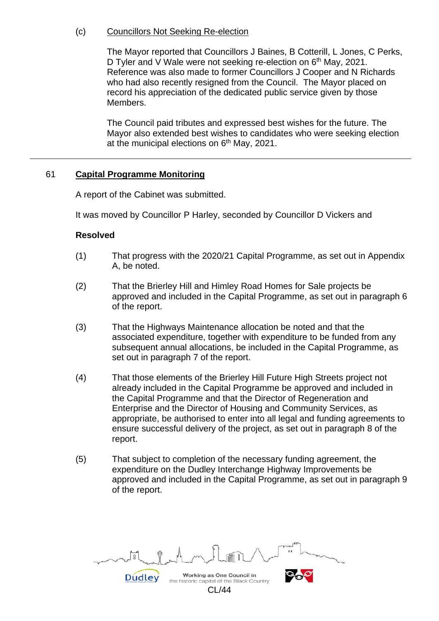# (c) Councillors Not Seeking Re-election

The Mayor reported that Councillors J Baines, B Cotterill, L Jones, C Perks, D Tyler and V Wale were not seeking re-election on 6<sup>th</sup> May, 2021. Reference was also made to former Councillors J Cooper and N Richards who had also recently resigned from the Council. The Mayor placed on record his appreciation of the dedicated public service given by those Members.

The Council paid tributes and expressed best wishes for the future. The Mayor also extended best wishes to candidates who were seeking election at the municipal elections on  $6<sup>th</sup>$  May, 2021.

# 61 **Capital Programme Monitoring**

A report of the Cabinet was submitted.

It was moved by Councillor P Harley, seconded by Councillor D Vickers and

#### **Resolved**

- (1) That progress with the 2020/21 Capital Programme, as set out in Appendix A, be noted.
- (2) That the Brierley Hill and Himley Road Homes for Sale projects be approved and included in the Capital Programme, as set out in paragraph 6 of the report.
- (3) That the Highways Maintenance allocation be noted and that the associated expenditure, together with expenditure to be funded from any subsequent annual allocations, be included in the Capital Programme, as set out in paragraph 7 of the report.
- (4) That those elements of the Brierley Hill Future High Streets project not already included in the Capital Programme be approved and included in the Capital Programme and that the Director of Regeneration and Enterprise and the Director of Housing and Community Services, as appropriate, be authorised to enter into all legal and funding agreements to ensure successful delivery of the project, as set out in paragraph 8 of the report.
- (5) That subject to completion of the necessary funding agreement, the expenditure on the Dudley Interchange Highway Improvements be approved and included in the Capital Programme, as set out in paragraph 9 of the report.

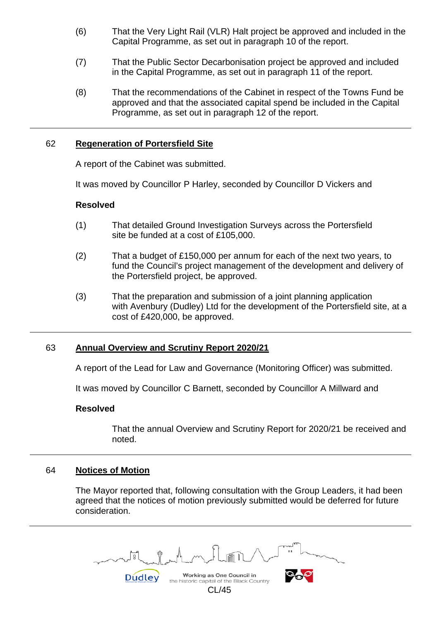- (6) That the Very Light Rail (VLR) Halt project be approved and included in the Capital Programme, as set out in paragraph 10 of the report.
- (7) That the Public Sector Decarbonisation project be approved and included in the Capital Programme, as set out in paragraph 11 of the report.
- (8) That the recommendations of the Cabinet in respect of the Towns Fund be approved and that the associated capital spend be included in the Capital Programme, as set out in paragraph 12 of the report.

#### 62 **Regeneration of Portersfield Site**

A report of the Cabinet was submitted.

It was moved by Councillor P Harley, seconded by Councillor D Vickers and

#### **Resolved**

- (1) That detailed Ground Investigation Surveys across the Portersfield site be funded at a cost of £105,000.
- (2) That a budget of £150,000 per annum for each of the next two years, to fund the Council's project management of the development and delivery of the Portersfield project, be approved.
- (3) That the preparation and submission of a joint planning application with Avenbury (Dudley) Ltd for the development of the Portersfield site, at a cost of £420,000, be approved.

# 63 **Annual Overview and Scrutiny Report 2020/21**

A report of the Lead for Law and Governance (Monitoring Officer) was submitted.

It was moved by Councillor C Barnett, seconded by Councillor A Millward and

#### **Resolved**

That the annual Overview and Scrutiny Report for 2020/21 be received and noted.

#### 64 **Notices of Motion**

The Mayor reported that, following consultation with the Group Leaders, it had been agreed that the notices of motion previously submitted would be deferred for future consideration.

Working as One Council in **Dudley** the historic capital of the Black Country CL/45